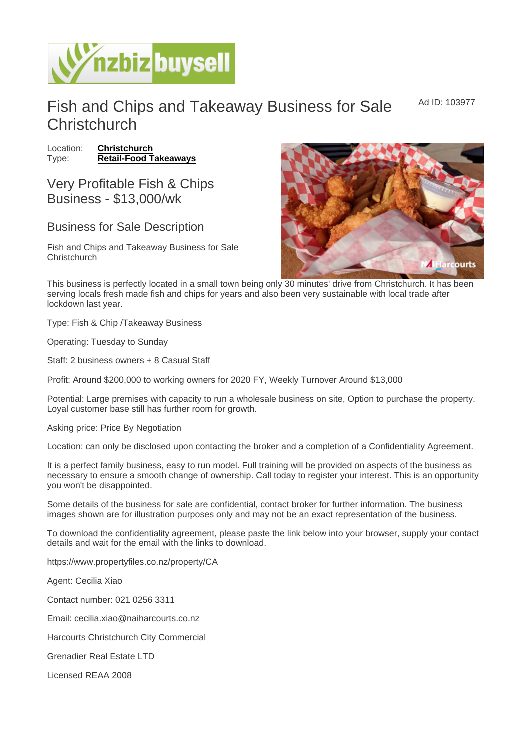Ad ID: 103977

## Fish and Chips and Takeaway Business for Sale **Christchurch**

Location: [Christchurch](https://www.nzbizbuysell.co.nz/businesses-for-sale/location/Christchurch) Type: [Retail-Food Takeaways](https://www.nzbizbuysell.co.nz/businesses-for-sale/Retail-Food-Takeaways/New-Zealand)

Very Profitable Fish & Chips Business - \$13,000/wk

## Business for Sale Description

Fish and Chips and Takeaway Business for Sale **Christchurch** 

This business is perfectly located in a small town being only 30 minutes' drive from Christchurch. It has been serving locals fresh made fish and chips for years and also been very sustainable with local trade after lockdown last year.

Type: Fish & Chip /Takeaway Business

Operating: Tuesday to Sunday

Staff: 2 business owners + 8 Casual Staff

Profit: Around \$200,000 to working owners for 2020 FY, Weekly Turnover Around \$13,000

Potential: Large premises with capacity to run a wholesale business on site, Option to purchase the property. Loyal customer base still has further room for growth.

Asking price: Price By Negotiation

Location: can only be disclosed upon contacting the broker and a completion of a Confidentiality Agreement.

It is a perfect family business, easy to run model. Full training will be provided on aspects of the business as necessary to ensure a smooth change of ownership. Call today to register your interest. This is an opportunity you won't be disappointed.

Some details of the business for sale are confidential, contact broker for further information. The business images shown are for illustration purposes only and may not be an exact representation of the business.

To download the confidentiality agreement, please paste the link below into your browser, supply your contact details and wait for the email with the links to download.

https://www.propertyfiles.co.nz/property/CA

Agent: Cecilia Xiao

Contact number: 021 0256 3311

Email: cecilia.xiao@naiharcourts.co.nz

Harcourts Christchurch City Commercial

Grenadier Real Estate LTD

Licensed REAA 2008